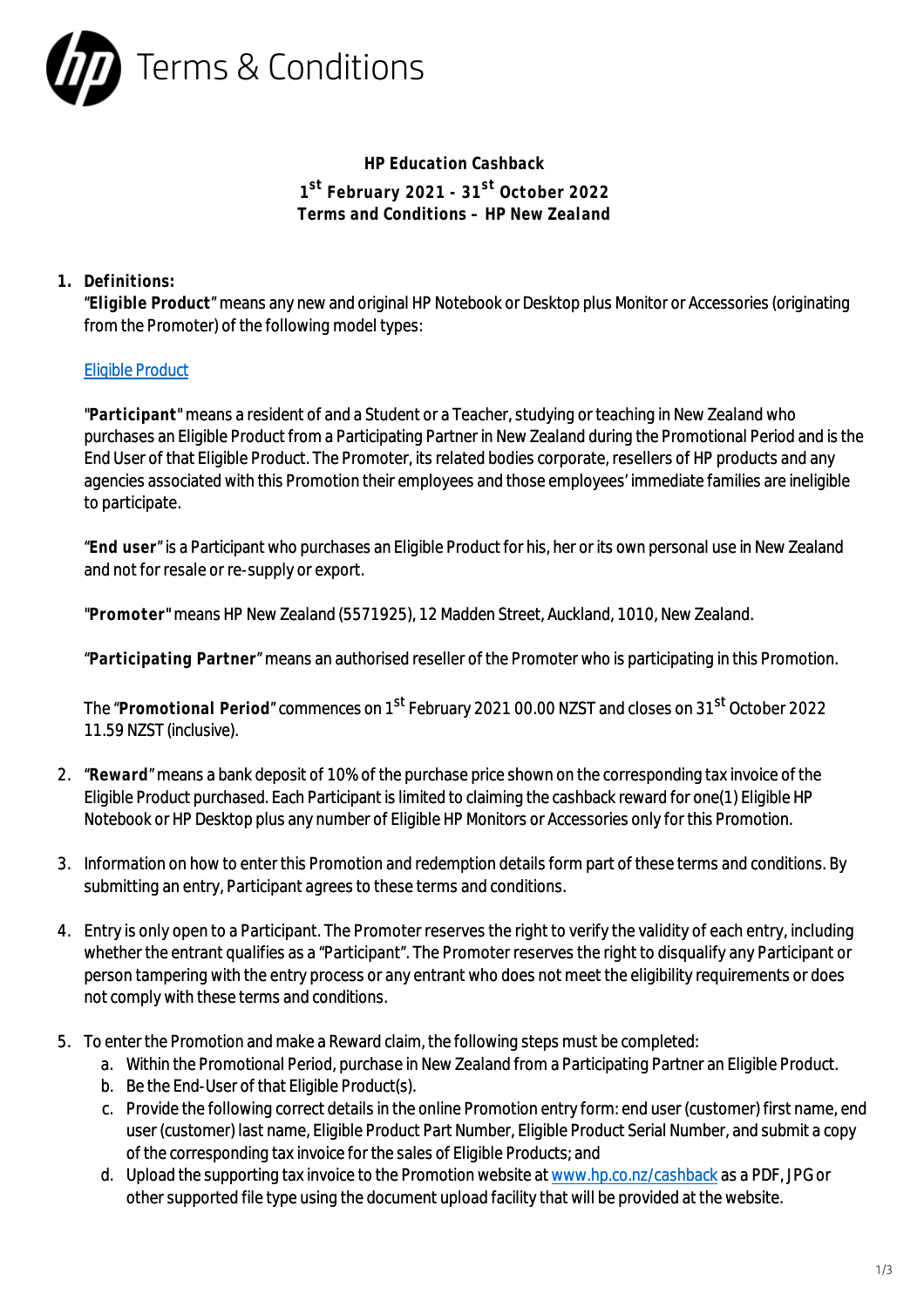

**HP Education Cashback 1 st February 2021 - 31st October 2022 Terms and Conditions – HP New Zealand**

## **1. Definitions:**

"**Eligible Product**" means any new and original HP Notebook or Desktop plus Monitor or Accessories (originating from the Promoter) of the following model types:

## [Eligible Product](https://h41201.www4.hp.com/WMCF.Web/nz/en/flex/6390/productinfo/)

"**Participant**" means a resident of and a Student or a Teacher, studying or teaching in New Zealand who purchases an Eligible Product from a Participating Partner in New Zealand during the Promotional Period and is the End User of that Eligible Product. The Promoter, its related bodies corporate, resellers of HP products and any agencies associated with this Promotion their employees and those employees' immediate families are ineligible to participate.

"**End user**" is a Participant who purchases an Eligible Product for his, her or its own personal use in New Zealand and not for resale or re-supply or export.

"**Promoter**" means HP New Zealand (5571925), 12 Madden Street, Auckland, 1010, New Zealand.

"**Participating Partner**" means an authorised reseller of the Promoter who is participating in this Promotion.

The "**Promotional Period**" commences on 1st February 2021 00.00 NZST and closes on 31st October 2022 11.59 NZST (inclusive).

- 2. "**Reward**" means a bank deposit of 10% of the purchase price shown on the corresponding tax invoice of the Eligible Product purchased. Each Participant is limited to claiming the cashback reward for one(1) Eligible HP Notebook or HP Desktop plus any number of Eligible HP Monitors or Accessories only for this Promotion.
- 3. Information on how to enter this Promotion and redemption details form part of these terms and conditions. By submitting an entry, Participant agrees to these terms and conditions.
- 4. Entry is only open to a Participant. The Promoter reserves the right to verify the validity of each entry, including whether the entrant qualifies as a "Participant". The Promoter reserves the right to disqualify any Participant or person tampering with the entry process or any entrant who does not meet the eligibility requirements or does not comply with these terms and conditions.
- 5. To enter the Promotion and make a Reward claim, the following steps must be completed:
	- a. Within the Promotional Period, purchase in New Zealand from a Participating Partner an Eligible Product.
	- b. Be the End-User of that Eligible Product(s).
	- c. Provide the following correct details in the online Promotion entry form: end user (customer) first name, end user (customer) last name, Eligible Product Part Number, Eligible Product Serial Number, and submit a copy of the corresponding tax invoice for the sales of Eligible Products; and
	- d. Upload the supporting tax invoice to the Promotion website at [www.hp.co.nz/cashback](http://www.hp.co.nz/cashback) as a PDF, JPG or other supported file type using the document upload facility that will be provided at the website.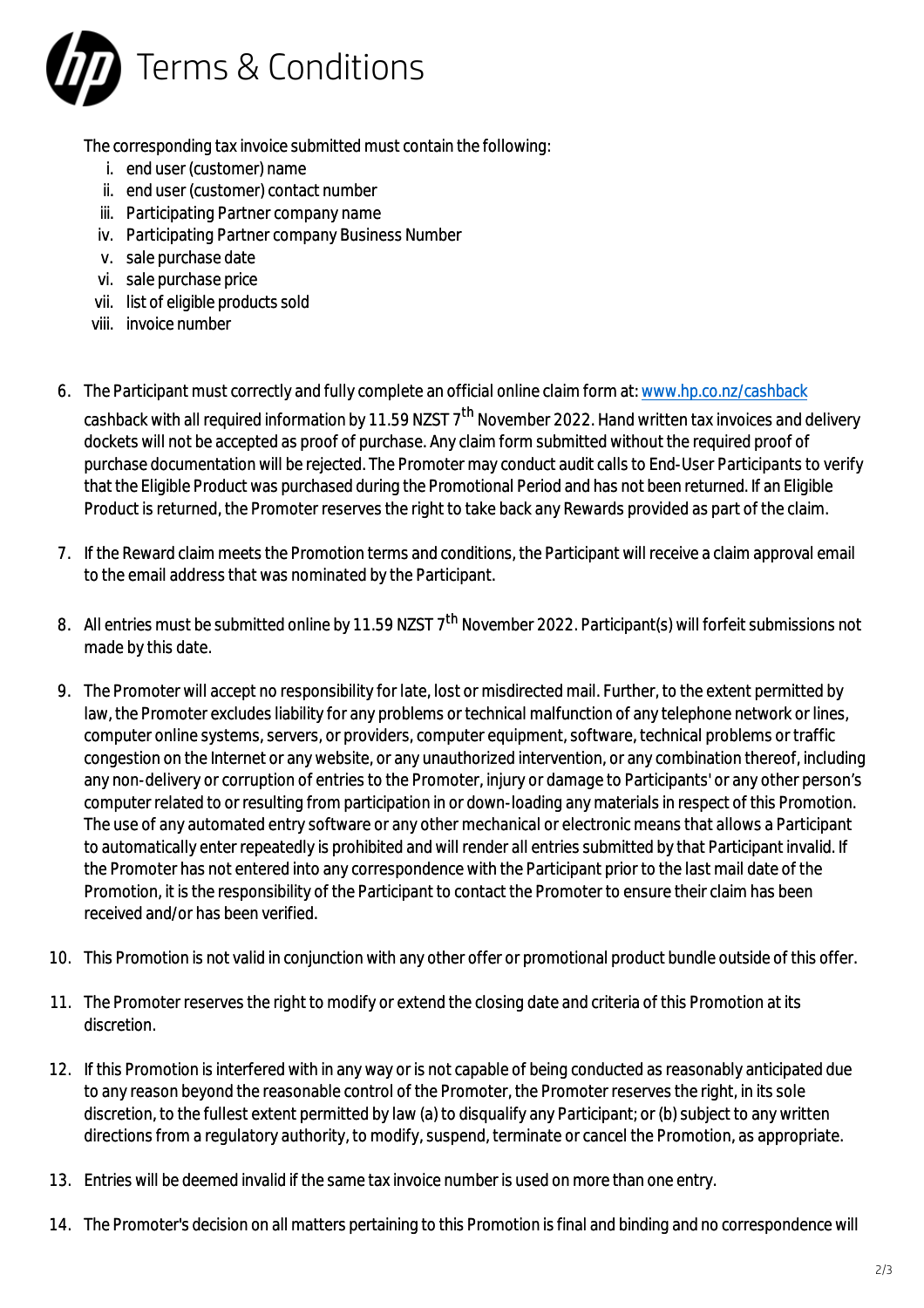

The corresponding tax invoice submitted must contain the following:

- i. end user (customer) name
- ii. end user (customer) contact number
- iii. Participating Partner company name
- iv. Participating Partner company Business Number
- v. sale purchase date
- vi. sale purchase price
- vii. list of eligible products sold
- viii. invoice number
- 6. The Participant must correctly and fully complete an official online claim form at: [www.hp.co.nz/cashback](http://www.hp.co.nz/cashback)

cashback with all required information by 11.59 NZST 7<sup>th</sup> November 2022. Hand written tax invoices and delivery dockets will not be accepted as proof of purchase. Any claim form submitted without the required proof of purchase documentation will be rejected. The Promoter may conduct audit calls to End-User Participants to verify that the Eligible Product was purchased during the Promotional Period and has not been returned. If an Eligible Product is returned, the Promoter reserves the right to take back any Rewards provided as part of the claim.

- 7. If the Reward claim meets the Promotion terms and conditions, the Participant will receive a claim approval email to the email address that was nominated by the Participant.
- 8. All entries must be submitted online by 11.59 NZST 7<sup>th</sup> November 2022. Participant(s) will forfeit submissions not made by this date.
- 9. The Promoter will accept no responsibility for late, lost or misdirected mail. Further, to the extent permitted by law, the Promoter excludes liability for any problems or technical malfunction of any telephone network or lines, computer online systems, servers, or providers, computer equipment, software, technical problems or traffic congestion on the Internet or any website, or any unauthorized intervention, or any combination thereof, including any non-delivery or corruption of entries to the Promoter, injury or damage to Participants' or any other person's computer related to or resulting from participation in or down-loading any materials in respect of this Promotion. The use of any automated entry software or any other mechanical or electronic means that allows a Participant to automatically enter repeatedly is prohibited and will render all entries submitted by that Participant invalid. If the Promoter has not entered into any correspondence with the Participant prior to the last mail date of the Promotion, it is the responsibility of the Participant to contact the Promoter to ensure their claim has been received and/or has been verified.
- 10. This Promotion is not valid in conjunction with any other offer or promotional product bundle outside of this offer.
- 11. The Promoter reserves the right to modify or extend the closing date and criteria of this Promotion at its discretion.
- 12. If this Promotion is interfered with in any way or is not capable of being conducted as reasonably anticipated due to any reason beyond the reasonable control of the Promoter, the Promoter reserves the right, in its sole discretion, to the fullest extent permitted by law (a) to disqualify any Participant; or (b) subject to any written directions from a regulatory authority, to modify, suspend, terminate or cancel the Promotion, as appropriate.
- 13. Entries will be deemed invalid if the same tax invoice number is used on more than one entry.
- 14. The Promoter's decision on all matters pertaining to this Promotion is final and binding and no correspondence will